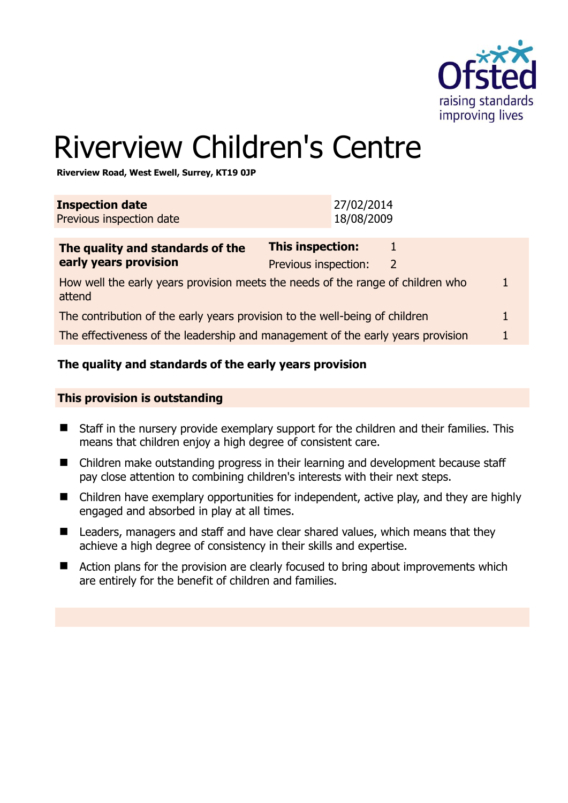

# Riverview Children's Centre

**Riverview Road, West Ewell, Surrey, KT19 0JP** 

| <b>Inspection date</b><br>Previous inspection date                                        |                                                 | 27/02/2014<br>18/08/2009 |  |
|-------------------------------------------------------------------------------------------|-------------------------------------------------|--------------------------|--|
| The quality and standards of the<br>early years provision                                 | <b>This inspection:</b><br>Previous inspection: | 2                        |  |
| How well the early years provision meets the needs of the range of children who<br>attend |                                                 |                          |  |
| The contribution of the early years provision to the well-being of children               |                                                 |                          |  |
| The effectiveness of the leadership and management of the early years provision           |                                                 |                          |  |
|                                                                                           |                                                 |                          |  |

# **The quality and standards of the early years provision**

#### **This provision is outstanding**

- Staff in the nursery provide exemplary support for the children and their families. This means that children enjoy a high degree of consistent care.
- Children make outstanding progress in their learning and development because staff pay close attention to combining children's interests with their next steps.
- Children have exemplary opportunities for independent, active play, and they are highly engaged and absorbed in play at all times.
- Leaders, managers and staff and have clear shared values, which means that they achieve a high degree of consistency in their skills and expertise.
- Action plans for the provision are clearly focused to bring about improvements which are entirely for the benefit of children and families.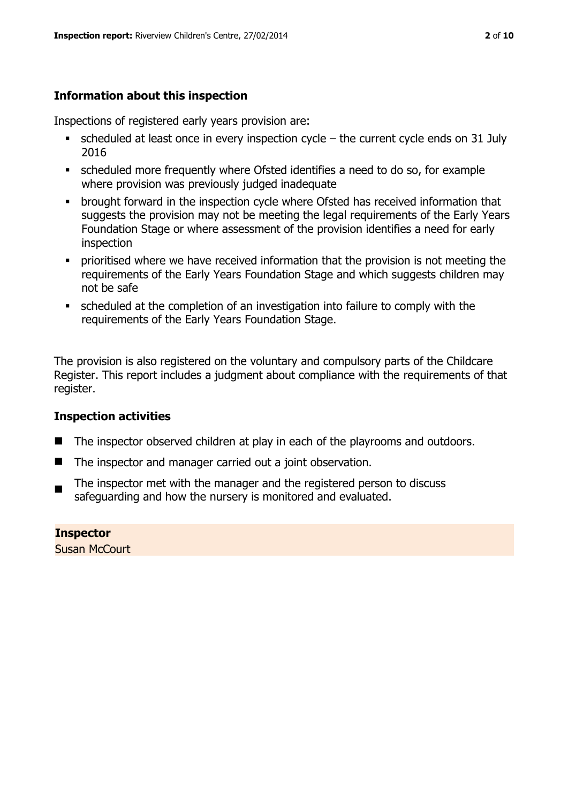# **Information about this inspection**

Inspections of registered early years provision are:

- $\bullet$  scheduled at least once in every inspection cycle the current cycle ends on 31 July 2016
- scheduled more frequently where Ofsted identifies a need to do so, for example where provision was previously judged inadequate
- **•** brought forward in the inspection cycle where Ofsted has received information that suggests the provision may not be meeting the legal requirements of the Early Years Foundation Stage or where assessment of the provision identifies a need for early inspection
- **•** prioritised where we have received information that the provision is not meeting the requirements of the Early Years Foundation Stage and which suggests children may not be safe
- scheduled at the completion of an investigation into failure to comply with the requirements of the Early Years Foundation Stage.

The provision is also registered on the voluntary and compulsory parts of the Childcare Register. This report includes a judgment about compliance with the requirements of that register.

# **Inspection activities**

- The inspector observed children at play in each of the playrooms and outdoors.
- The inspector and manager carried out a joint observation.
- The inspector met with the manager and the registered person to discuss safeguarding and how the nursery is monitored and evaluated.

**Inspector**  Susan McCourt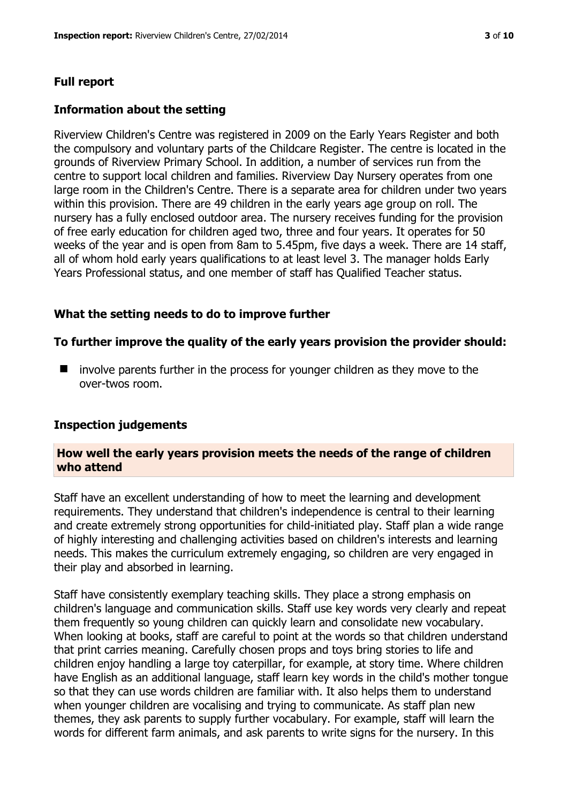#### **Full report**

#### **Information about the setting**

Riverview Children's Centre was registered in 2009 on the Early Years Register and both the compulsory and voluntary parts of the Childcare Register. The centre is located in the grounds of Riverview Primary School. In addition, a number of services run from the centre to support local children and families. Riverview Day Nursery operates from one large room in the Children's Centre. There is a separate area for children under two years within this provision. There are 49 children in the early years age group on roll. The nursery has a fully enclosed outdoor area. The nursery receives funding for the provision of free early education for children aged two, three and four years. It operates for 50 weeks of the year and is open from 8am to 5.45pm, five days a week. There are 14 staff, all of whom hold early years qualifications to at least level 3. The manager holds Early Years Professional status, and one member of staff has Qualified Teacher status.

#### **What the setting needs to do to improve further**

#### **To further improve the quality of the early years provision the provider should:**

 $\blacksquare$  involve parents further in the process for younger children as they move to the over-twos room.

#### **Inspection judgements**

#### **How well the early years provision meets the needs of the range of children who attend**

Staff have an excellent understanding of how to meet the learning and development requirements. They understand that children's independence is central to their learning and create extremely strong opportunities for child-initiated play. Staff plan a wide range of highly interesting and challenging activities based on children's interests and learning needs. This makes the curriculum extremely engaging, so children are very engaged in their play and absorbed in learning.

Staff have consistently exemplary teaching skills. They place a strong emphasis on children's language and communication skills. Staff use key words very clearly and repeat them frequently so young children can quickly learn and consolidate new vocabulary. When looking at books, staff are careful to point at the words so that children understand that print carries meaning. Carefully chosen props and toys bring stories to life and children enjoy handling a large toy caterpillar, for example, at story time. Where children have English as an additional language, staff learn key words in the child's mother tongue so that they can use words children are familiar with. It also helps them to understand when younger children are vocalising and trying to communicate. As staff plan new themes, they ask parents to supply further vocabulary. For example, staff will learn the words for different farm animals, and ask parents to write signs for the nursery. In this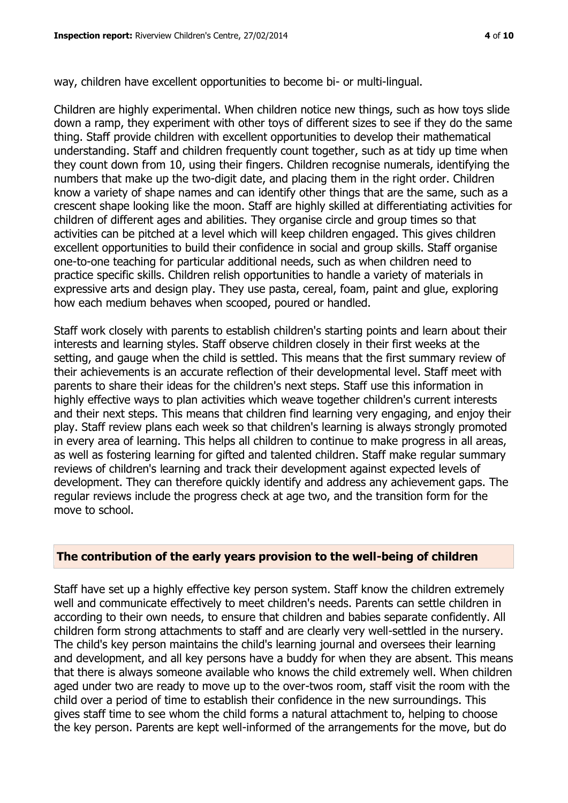way, children have excellent opportunities to become bi- or multi-lingual.

Children are highly experimental. When children notice new things, such as how toys slide down a ramp, they experiment with other toys of different sizes to see if they do the same thing. Staff provide children with excellent opportunities to develop their mathematical understanding. Staff and children frequently count together, such as at tidy up time when they count down from 10, using their fingers. Children recognise numerals, identifying the numbers that make up the two-digit date, and placing them in the right order. Children know a variety of shape names and can identify other things that are the same, such as a crescent shape looking like the moon. Staff are highly skilled at differentiating activities for children of different ages and abilities. They organise circle and group times so that activities can be pitched at a level which will keep children engaged. This gives children excellent opportunities to build their confidence in social and group skills. Staff organise one-to-one teaching for particular additional needs, such as when children need to practice specific skills. Children relish opportunities to handle a variety of materials in expressive arts and design play. They use pasta, cereal, foam, paint and glue, exploring how each medium behaves when scooped, poured or handled.

Staff work closely with parents to establish children's starting points and learn about their interests and learning styles. Staff observe children closely in their first weeks at the setting, and gauge when the child is settled. This means that the first summary review of their achievements is an accurate reflection of their developmental level. Staff meet with parents to share their ideas for the children's next steps. Staff use this information in highly effective ways to plan activities which weave together children's current interests and their next steps. This means that children find learning very engaging, and enjoy their play. Staff review plans each week so that children's learning is always strongly promoted in every area of learning. This helps all children to continue to make progress in all areas, as well as fostering learning for gifted and talented children. Staff make regular summary reviews of children's learning and track their development against expected levels of development. They can therefore quickly identify and address any achievement gaps. The regular reviews include the progress check at age two, and the transition form for the move to school.

#### **The contribution of the early years provision to the well-being of children**

Staff have set up a highly effective key person system. Staff know the children extremely well and communicate effectively to meet children's needs. Parents can settle children in according to their own needs, to ensure that children and babies separate confidently. All children form strong attachments to staff and are clearly very well-settled in the nursery. The child's key person maintains the child's learning journal and oversees their learning and development, and all key persons have a buddy for when they are absent. This means that there is always someone available who knows the child extremely well. When children aged under two are ready to move up to the over-twos room, staff visit the room with the child over a period of time to establish their confidence in the new surroundings. This gives staff time to see whom the child forms a natural attachment to, helping to choose the key person. Parents are kept well-informed of the arrangements for the move, but do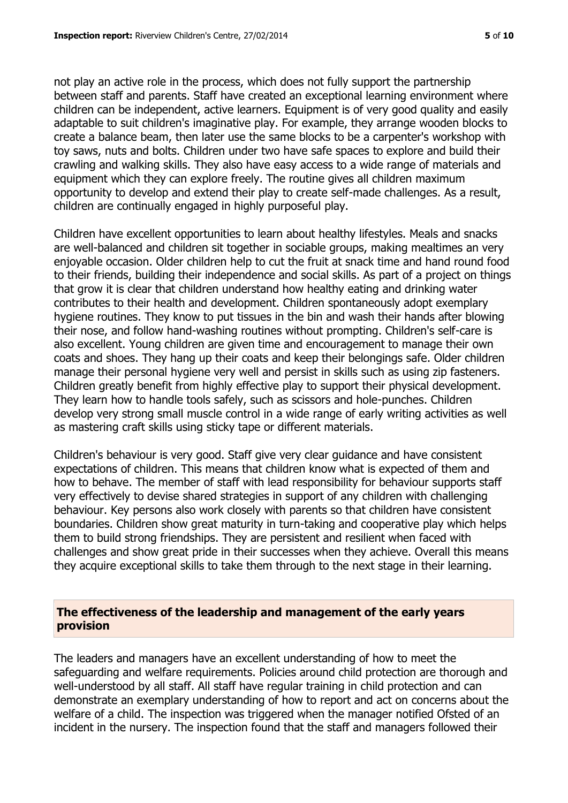not play an active role in the process, which does not fully support the partnership between staff and parents. Staff have created an exceptional learning environment where children can be independent, active learners. Equipment is of very good quality and easily adaptable to suit children's imaginative play. For example, they arrange wooden blocks to create a balance beam, then later use the same blocks to be a carpenter's workshop with toy saws, nuts and bolts. Children under two have safe spaces to explore and build their crawling and walking skills. They also have easy access to a wide range of materials and equipment which they can explore freely. The routine gives all children maximum opportunity to develop and extend their play to create self-made challenges. As a result, children are continually engaged in highly purposeful play.

Children have excellent opportunities to learn about healthy lifestyles. Meals and snacks are well-balanced and children sit together in sociable groups, making mealtimes an very enjoyable occasion. Older children help to cut the fruit at snack time and hand round food to their friends, building their independence and social skills. As part of a project on things that grow it is clear that children understand how healthy eating and drinking water contributes to their health and development. Children spontaneously adopt exemplary hygiene routines. They know to put tissues in the bin and wash their hands after blowing their nose, and follow hand-washing routines without prompting. Children's self-care is also excellent. Young children are given time and encouragement to manage their own coats and shoes. They hang up their coats and keep their belongings safe. Older children manage their personal hygiene very well and persist in skills such as using zip fasteners. Children greatly benefit from highly effective play to support their physical development. They learn how to handle tools safely, such as scissors and hole-punches. Children develop very strong small muscle control in a wide range of early writing activities as well as mastering craft skills using sticky tape or different materials.

Children's behaviour is very good. Staff give very clear guidance and have consistent expectations of children. This means that children know what is expected of them and how to behave. The member of staff with lead responsibility for behaviour supports staff very effectively to devise shared strategies in support of any children with challenging behaviour. Key persons also work closely with parents so that children have consistent boundaries. Children show great maturity in turn-taking and cooperative play which helps them to build strong friendships. They are persistent and resilient when faced with challenges and show great pride in their successes when they achieve. Overall this means they acquire exceptional skills to take them through to the next stage in their learning.

#### **The effectiveness of the leadership and management of the early years provision**

The leaders and managers have an excellent understanding of how to meet the safeguarding and welfare requirements. Policies around child protection are thorough and well-understood by all staff. All staff have regular training in child protection and can demonstrate an exemplary understanding of how to report and act on concerns about the welfare of a child. The inspection was triggered when the manager notified Ofsted of an incident in the nursery. The inspection found that the staff and managers followed their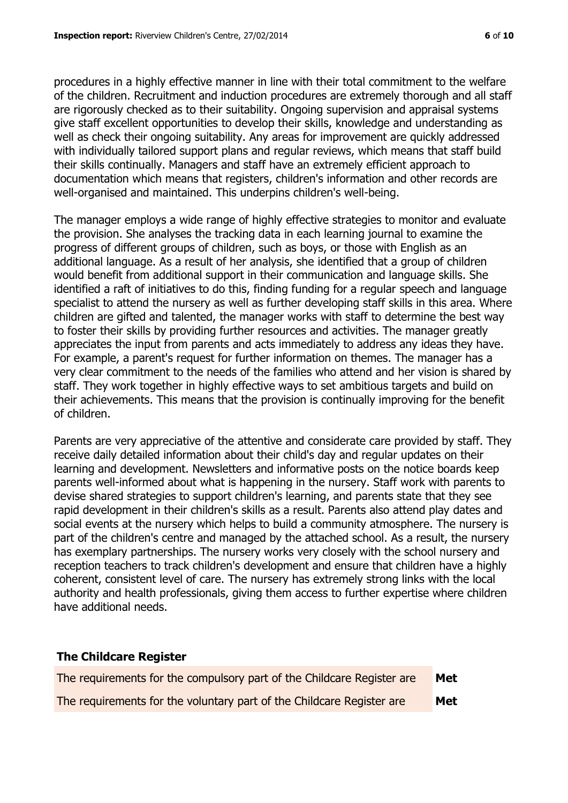procedures in a highly effective manner in line with their total commitment to the welfare of the children. Recruitment and induction procedures are extremely thorough and all staff are rigorously checked as to their suitability. Ongoing supervision and appraisal systems give staff excellent opportunities to develop their skills, knowledge and understanding as well as check their ongoing suitability. Any areas for improvement are quickly addressed with individually tailored support plans and regular reviews, which means that staff build their skills continually. Managers and staff have an extremely efficient approach to documentation which means that registers, children's information and other records are well-organised and maintained. This underpins children's well-being.

The manager employs a wide range of highly effective strategies to monitor and evaluate the provision. She analyses the tracking data in each learning journal to examine the progress of different groups of children, such as boys, or those with English as an additional language. As a result of her analysis, she identified that a group of children would benefit from additional support in their communication and language skills. She identified a raft of initiatives to do this, finding funding for a regular speech and language specialist to attend the nursery as well as further developing staff skills in this area. Where children are gifted and talented, the manager works with staff to determine the best way to foster their skills by providing further resources and activities. The manager greatly appreciates the input from parents and acts immediately to address any ideas they have. For example, a parent's request for further information on themes. The manager has a very clear commitment to the needs of the families who attend and her vision is shared by staff. They work together in highly effective ways to set ambitious targets and build on their achievements. This means that the provision is continually improving for the benefit of children.

Parents are very appreciative of the attentive and considerate care provided by staff. They receive daily detailed information about their child's day and regular updates on their learning and development. Newsletters and informative posts on the notice boards keep parents well-informed about what is happening in the nursery. Staff work with parents to devise shared strategies to support children's learning, and parents state that they see rapid development in their children's skills as a result. Parents also attend play dates and social events at the nursery which helps to build a community atmosphere. The nursery is part of the children's centre and managed by the attached school. As a result, the nursery has exemplary partnerships. The nursery works very closely with the school nursery and reception teachers to track children's development and ensure that children have a highly coherent, consistent level of care. The nursery has extremely strong links with the local authority and health professionals, giving them access to further expertise where children have additional needs.

#### **The Childcare Register**

| The requirements for the compulsory part of the Childcare Register are | Met        |
|------------------------------------------------------------------------|------------|
| The requirements for the voluntary part of the Childcare Register are  | <b>Met</b> |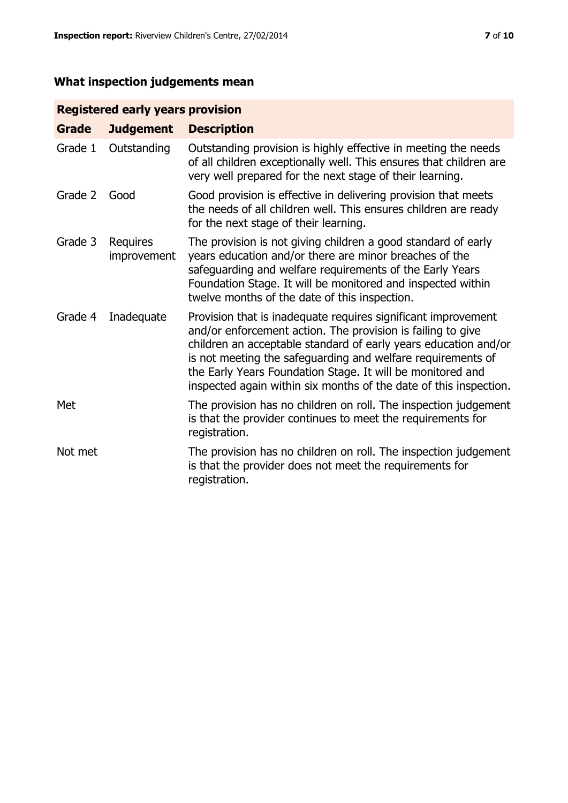# **What inspection judgements mean**

# **Registered early years provision**

| <b>Grade</b> | <b>Judgement</b>        | <b>Description</b>                                                                                                                                                                                                                                                                                                                                                                                |
|--------------|-------------------------|---------------------------------------------------------------------------------------------------------------------------------------------------------------------------------------------------------------------------------------------------------------------------------------------------------------------------------------------------------------------------------------------------|
| Grade 1      | Outstanding             | Outstanding provision is highly effective in meeting the needs<br>of all children exceptionally well. This ensures that children are<br>very well prepared for the next stage of their learning.                                                                                                                                                                                                  |
| Grade 2      | Good                    | Good provision is effective in delivering provision that meets<br>the needs of all children well. This ensures children are ready<br>for the next stage of their learning.                                                                                                                                                                                                                        |
| Grade 3      | Requires<br>improvement | The provision is not giving children a good standard of early<br>years education and/or there are minor breaches of the<br>safeguarding and welfare requirements of the Early Years<br>Foundation Stage. It will be monitored and inspected within<br>twelve months of the date of this inspection.                                                                                               |
| Grade 4      | Inadequate              | Provision that is inadequate requires significant improvement<br>and/or enforcement action. The provision is failing to give<br>children an acceptable standard of early years education and/or<br>is not meeting the safeguarding and welfare requirements of<br>the Early Years Foundation Stage. It will be monitored and<br>inspected again within six months of the date of this inspection. |
| Met          |                         | The provision has no children on roll. The inspection judgement<br>is that the provider continues to meet the requirements for<br>registration.                                                                                                                                                                                                                                                   |
| Not met      |                         | The provision has no children on roll. The inspection judgement<br>is that the provider does not meet the requirements for<br>registration.                                                                                                                                                                                                                                                       |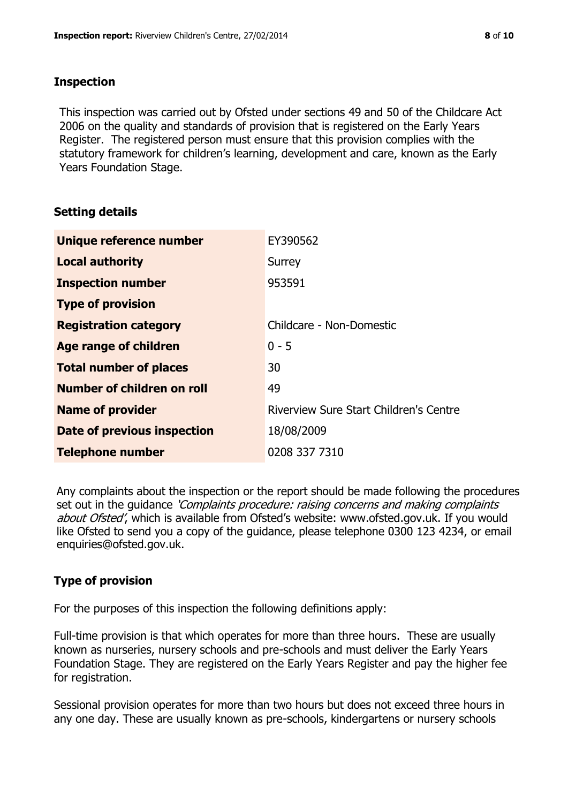### **Inspection**

This inspection was carried out by Ofsted under sections 49 and 50 of the Childcare Act 2006 on the quality and standards of provision that is registered on the Early Years Register. The registered person must ensure that this provision complies with the statutory framework for children's learning, development and care, known as the Early Years Foundation Stage.

# **Setting details**

| Unique reference number       | EY390562                               |
|-------------------------------|----------------------------------------|
| <b>Local authority</b>        | Surrey                                 |
| <b>Inspection number</b>      | 953591                                 |
| <b>Type of provision</b>      |                                        |
| <b>Registration category</b>  | Childcare - Non-Domestic               |
| Age range of children         | $0 - 5$                                |
| <b>Total number of places</b> | 30                                     |
| Number of children on roll    | 49                                     |
| <b>Name of provider</b>       | Riverview Sure Start Children's Centre |
| Date of previous inspection   | 18/08/2009                             |
| <b>Telephone number</b>       | 0208 337 7310                          |

Any complaints about the inspection or the report should be made following the procedures set out in the guidance *'Complaints procedure: raising concerns and making complaints* about Ofsted', which is available from Ofsted's website: www.ofsted.gov.uk. If you would like Ofsted to send you a copy of the guidance, please telephone 0300 123 4234, or email enquiries@ofsted.gov.uk.

# **Type of provision**

For the purposes of this inspection the following definitions apply:

Full-time provision is that which operates for more than three hours. These are usually known as nurseries, nursery schools and pre-schools and must deliver the Early Years Foundation Stage. They are registered on the Early Years Register and pay the higher fee for registration.

Sessional provision operates for more than two hours but does not exceed three hours in any one day. These are usually known as pre-schools, kindergartens or nursery schools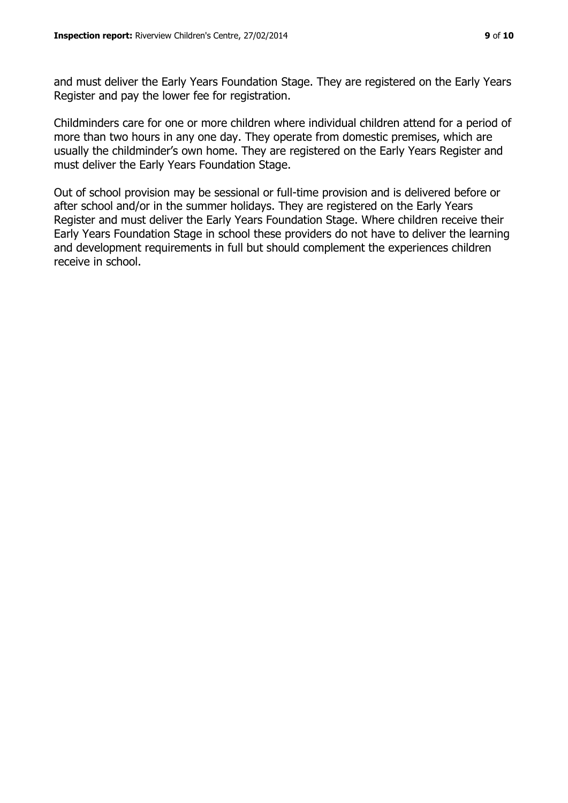and must deliver the Early Years Foundation Stage. They are registered on the Early Years Register and pay the lower fee for registration.

Childminders care for one or more children where individual children attend for a period of more than two hours in any one day. They operate from domestic premises, which are usually the childminder's own home. They are registered on the Early Years Register and must deliver the Early Years Foundation Stage.

Out of school provision may be sessional or full-time provision and is delivered before or after school and/or in the summer holidays. They are registered on the Early Years Register and must deliver the Early Years Foundation Stage. Where children receive their Early Years Foundation Stage in school these providers do not have to deliver the learning and development requirements in full but should complement the experiences children receive in school.